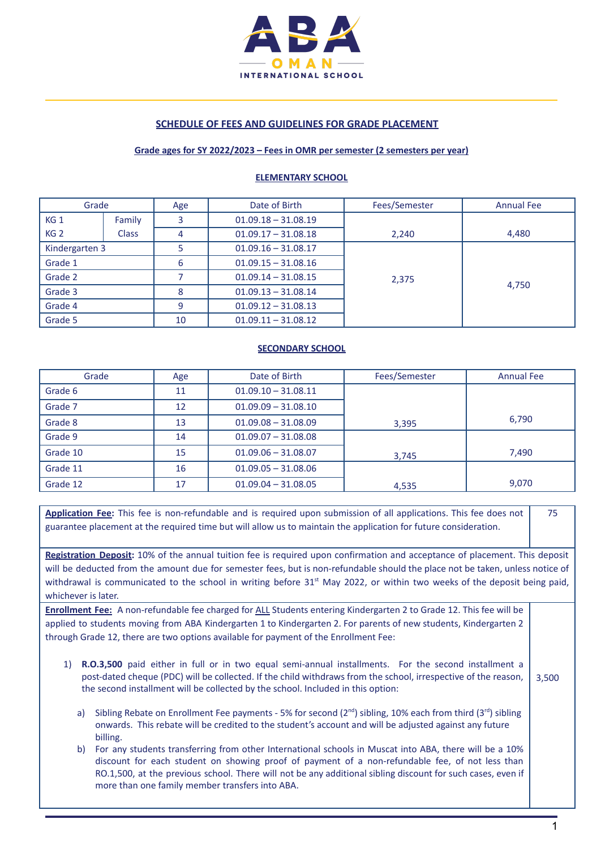

## **SCHEDULE OF FEES AND GUIDELINES FOR GRADE PLACEMENT**

# **Grade ages for SY 2022/2023 – Fees in OMR per semester (2 semesters per year)**

### **ELEMENTARY SCHOOL**

| Grade           |              | Age | Date of Birth         | Fees/Semester | <b>Annual Fee</b> |
|-----------------|--------------|-----|-----------------------|---------------|-------------------|
| KG <sub>1</sub> | Family       | 3   | $01.09.18 - 31.08.19$ |               |                   |
| KG <sub>2</sub> | <b>Class</b> | 4   | $01.09.17 - 31.08.18$ | 2,240         | 4,480             |
| Kindergarten 3  |              |     | $01.09.16 - 31.08.17$ |               |                   |
| Grade 1         |              | 6   | $01.09.15 - 31.08.16$ |               |                   |
| Grade 2         |              |     | $01.09.14 - 31.08.15$ | 2,375         |                   |
| Grade 3         |              | 8   | $01.09.13 - 31.08.14$ |               | 4,750             |
| Grade 4         |              | 9   | $01.09.12 - 31.08.13$ |               |                   |
| Grade 5         |              | 10  | $01.09.11 - 31.08.12$ |               |                   |

# **SECONDARY SCHOOL**

| Grade    | Age | Date of Birth         | Fees/Semester | <b>Annual Fee</b> |
|----------|-----|-----------------------|---------------|-------------------|
| Grade 6  | 11  | $01.09.10 - 31.08.11$ |               |                   |
| Grade 7  | 12  | $01.09.09 - 31.08.10$ |               |                   |
| Grade 8  | 13  | $01.09.08 - 31.08.09$ | 3,395         | 6,790             |
| Grade 9  | 14  | $01.09.07 - 31.08.08$ |               |                   |
| Grade 10 | 15  | $01.09.06 - 31.08.07$ | 3,745         | 7,490             |
| Grade 11 | 16  | $01.09.05 - 31.08.06$ |               |                   |
| Grade 12 | 17  | $01.09.04 - 31.08.05$ | 4,535         | 9,070             |

| Application Fee: This fee is non-refundable and is required upon submission of all applications. This fee does not                                                                                          |  |  |  |  |
|-------------------------------------------------------------------------------------------------------------------------------------------------------------------------------------------------------------|--|--|--|--|
| guarantee placement at the required time but will allow us to maintain the application for future consideration.                                                                                            |  |  |  |  |
|                                                                                                                                                                                                             |  |  |  |  |
| Registration Deposit: 10% of the annual tuition fee is required upon confirmation and acceptance of placement. This deposit                                                                                 |  |  |  |  |
| will be deducted from the amount due for semester fees, but is non-refundable should the place not be taken, unless notice of                                                                               |  |  |  |  |
| withdrawal is communicated to the school in writing before $31st$ May 2022, or within two weeks of the deposit being paid,                                                                                  |  |  |  |  |
| whichever is later.                                                                                                                                                                                         |  |  |  |  |
| Enrollment Fee: A non-refundable fee charged for ALL Students entering Kindergarten 2 to Grade 12. This fee will be                                                                                         |  |  |  |  |
| applied to students moving from ABA Kindergarten 1 to Kindergarten 2. For parents of new students, Kindergarten 2                                                                                           |  |  |  |  |
| through Grade 12, there are two options available for payment of the Enrollment Fee:                                                                                                                        |  |  |  |  |
|                                                                                                                                                                                                             |  |  |  |  |
| R.O.3,500 paid either in full or in two equal semi-annual installments. For the second installment a<br>1)                                                                                                  |  |  |  |  |
| post-dated cheque (PDC) will be collected. If the child withdraws from the school, irrespective of the reason,<br>3,500<br>the second installment will be collected by the school. Included in this option: |  |  |  |  |
|                                                                                                                                                                                                             |  |  |  |  |
| Sibling Rebate on Enrollment Fee payments - 5% for second $(2^{nd})$ sibling, 10% each from third $(3^{rd})$ sibling<br>a)                                                                                  |  |  |  |  |
| onwards. This rebate will be credited to the student's account and will be adjusted against any future<br>billing.                                                                                          |  |  |  |  |
| For any students transferring from other International schools in Muscat into ABA, there will be a 10%<br>b)                                                                                                |  |  |  |  |
| discount for each student on showing proof of payment of a non-refundable fee, of not less than                                                                                                             |  |  |  |  |
| RO.1,500, at the previous school. There will not be any additional sibling discount for such cases, even if                                                                                                 |  |  |  |  |
| more than one family member transfers into ABA.                                                                                                                                                             |  |  |  |  |